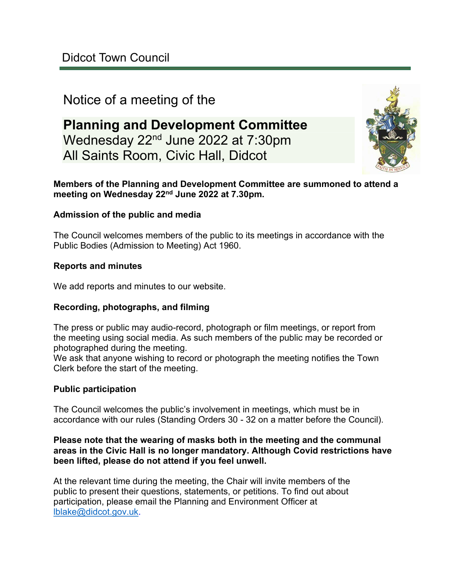# Notice of a meeting of the

# **Planning and Development Committee** Wednesday 22nd June 2022 at 7:30pm All Saints Room, Civic Hall, Didcot



#### **Members of the Planning and Development Committee are summoned to attend a meeting on Wednesday 22nd June 2022 at 7.30pm.**

#### **Admission of the public and media**

The Council welcomes members of the public to its meetings in accordance with the Public Bodies (Admission to Meeting) Act 1960.

#### **Reports and minutes**

We add reports and minutes to our website.

#### **Recording, photographs, and filming**

The press or public may audio-record, photograph or film meetings, or report from the meeting using social media. As such members of the public may be recorded or photographed during the meeting.

We ask that anyone wishing to record or photograph the meeting notifies the Town Clerk before the start of the meeting.

#### **Public participation**

The Council welcomes the public's involvement in meetings, which must be in accordance with our rules (Standing Orders 30 - 32 on a matter before the Council).

#### **Please note that the wearing of masks both in the meeting and the communal areas in the Civic Hall is no longer mandatory. Although Covid restrictions have been lifted, please do not attend if you feel unwell.**

At the relevant time during the meeting, the Chair will invite members of the public to present their questions, statements, or petitions. To find out about participation, please email the Planning and Environment Officer at [lblake@didcot.gov.uk.](mailto:lblake@didcot.gov.uk)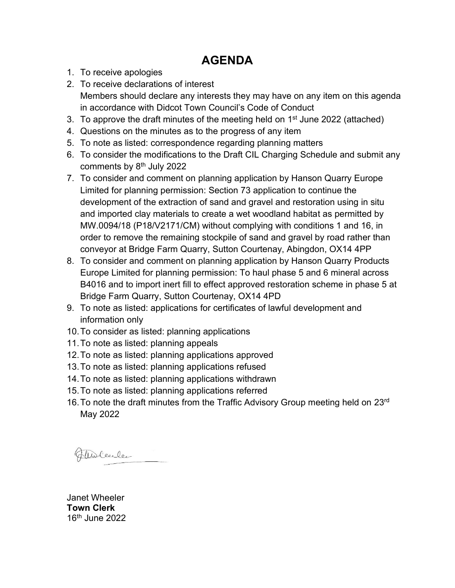# **AGENDA**

- 1. To receive apologies
- 2. To receive declarations of interest Members should declare any interests they may have on any item on this agenda in accordance with Didcot Town Council's Code of Conduct
- 3. To approve the draft minutes of the meeting held on 1<sup>st</sup> June 2022 (attached)
- 4. Questions on the minutes as to the progress of any item
- 5. To note as listed: correspondence regarding planning matters
- 6. To consider the modifications to the Draft CIL Charging Schedule and submit any comments by  $8<sup>th</sup>$  July 2022
- 7. To consider and comment on planning application by Hanson Quarry Europe Limited for planning permission: Section 73 application to continue the development of the extraction of sand and gravel and restoration using in situ and imported clay materials to create a wet woodland habitat as permitted by MW.0094/18 (P18/V2171/CM) without complying with conditions 1 and 16, in order to remove the remaining stockpile of sand and gravel by road rather than conveyor at Bridge Farm Quarry, Sutton Courtenay, Abingdon, OX14 4PP
- 8. To consider and comment on planning application by Hanson Quarry Products Europe Limited for planning permission: To haul phase 5 and 6 mineral across B4016 and to import inert fill to effect approved restoration scheme in phase 5 at Bridge Farm Quarry, Sutton Courtenay, OX14 4PD
- 9. To note as listed: applications for certificates of lawful development and information only
- 10.To consider as listed: planning applications
- 11.To note as listed: planning appeals
- 12.To note as listed: planning applications approved
- 13.To note as listed: planning applications refused
- 14.To note as listed: planning applications withdrawn
- 15.To note as listed: planning applications referred
- 16. To note the draft minutes from the Traffic Advisory Group meeting held on 23rd May 2022

Fluchenlee

Janet Wheeler **Town Clerk** 16th June 2022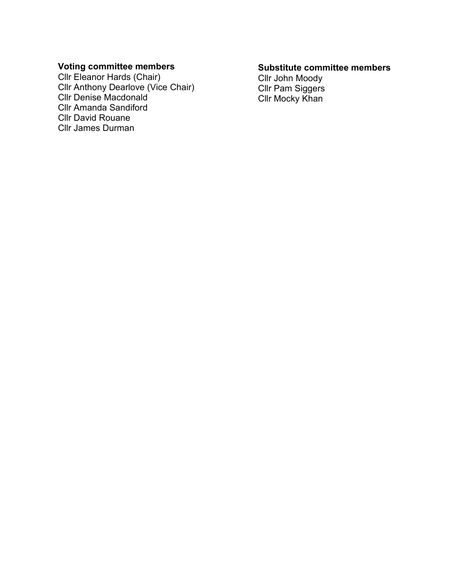## **Voting committee members**

Cllr Eleanor Hards (Chair) Cllr Anthony Dearlove (Vice Chair) Cllr Denise Macdonald Cllr Amanda Sandiford Cllr David Rouane Cllr James Durman

#### **Substitute committee members**

Cllr John Moody Cllr Pam Siggers Cllr Mocky Khan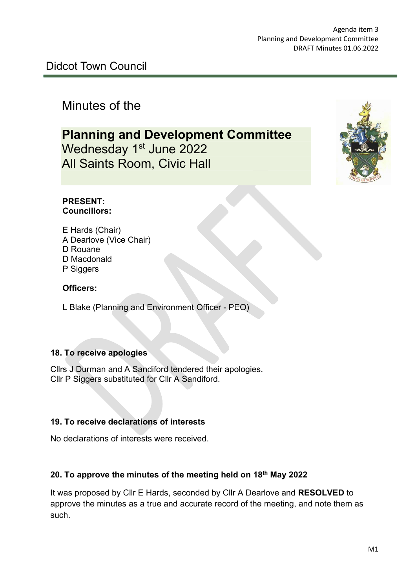# Minutes of the

**Planning and Development Committee** Wednesday 1<sup>st</sup> June 2022 All Saints Room, Civic Hall



#### **PRESENT: Councillors:**

E Hards (Chair) A Dearlove (Vice Chair) D Rouane D Macdonald P Siggers

## **Officers:**

L Blake (Planning and Environment Officer - PEO)

### **18. To receive apologies**

Cllrs J Durman and A Sandiford tendered their apologies. Cllr P Siggers substituted for Cllr A Sandiford.

### **19. To receive declarations of interests**

No declarations of interests were received.

## **20. To approve the minutes of the meeting held on 18th May 2022**

It was proposed by Cllr E Hards, seconded by Cllr A Dearlove and **RESOLVED** to approve the minutes as a true and accurate record of the meeting, and note them as such.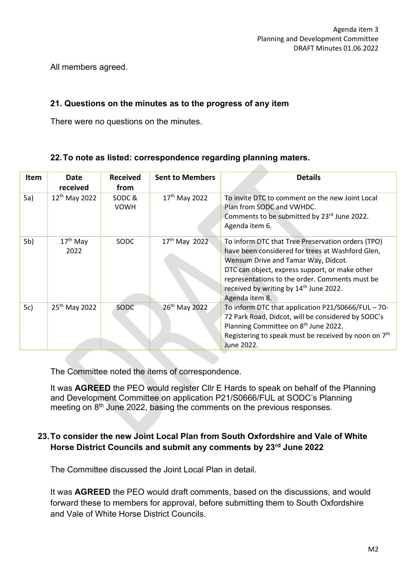All members agreed.

## **21. Questions on the minutes as to the progress of any item**

There were no questions on the minutes.

### **22.To note as listed: correspondence regarding planning maters.**

| Item | Date<br>received             | <b>Received</b><br>from | <b>Sent to Members</b>    | <b>Details</b>                                                                                                                                                                                                                                                                                                           |
|------|------------------------------|-------------------------|---------------------------|--------------------------------------------------------------------------------------------------------------------------------------------------------------------------------------------------------------------------------------------------------------------------------------------------------------------------|
| 5a)  | $12^{th}$ May 2022           | SODC&<br><b>VOWH</b>    | 17 <sup>th</sup> May 2022 | To invite DTC to comment on the new Joint Local<br>Plan from SODC and VWHDC.<br>Comments to be submitted by 23rd June 2022.<br>Agenda item 6.                                                                                                                                                                            |
| 5b)  | 17 <sup>th</sup> May<br>2022 | SODC                    | $17th$ May 2022           | To inform DTC that Tree Preservation orders (TPO)<br>have been considered for trees at Washford Glen,<br>Wensum Drive and Tamar Way, Didcot.<br>DTC can object, express support, or make other<br>representations to the order. Comments must be<br>received by writing by 14 <sup>th</sup> June 2022.<br>Agenda item 8. |
| 5c)  | 25 <sup>th</sup> May 2022    | <b>SODC</b>             | 26th May 2022             | To inform DTC that application P21/S0666/FUL - 70-<br>72 Park Road, Didcot, will be considered by SODC's<br>Planning Committee on 8 <sup>th</sup> June 2022.<br>Registering to speak must be received by noon on 7 <sup>th</sup><br>June 2022.                                                                           |

**Contract Contract** 

The Committee noted the items of correspondence.

It was **AGREED** the PEO would register Cllr E Hards to speak on behalf of the Planning and Development Committee on application P21/S0666/FUL at SODC's Planning meeting on 8<sup>th</sup> June 2022, basing the comments on the previous responses.

### **23.To consider the new Joint Local Plan from South Oxfordshire and Vale of White Horse District Councils and submit any comments by 23rd June 2022**

The Committee discussed the Joint Local Plan in detail.

It was **AGREED** the PEO would draft comments, based on the discussions, and would forward these to members for approval, before submitting them to South Oxfordshire and Vale of White Horse District Councils.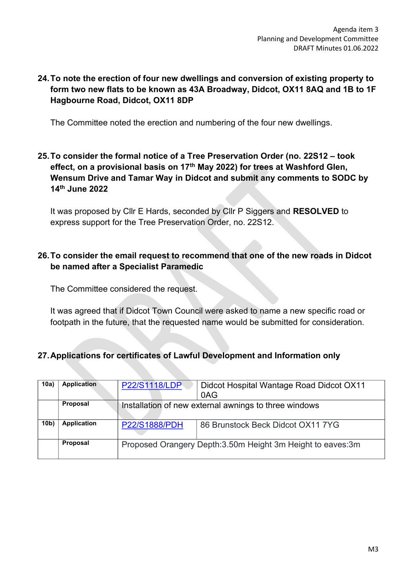## **24.To note the erection of four new dwellings and conversion of existing property to form two new flats to be known as 43A Broadway, Didcot, OX11 8AQ and 1B to 1F Hagbourne Road, Didcot, OX11 8DP**

The Committee noted the erection and numbering of the four new dwellings.

## **25.To consider the formal notice of a Tree Preservation Order (no. 22S12 – took effect, on a provisional basis on 17th May 2022) for trees at Washford Glen, Wensum Drive and Tamar Way in Didcot and submit any comments to SODC by 14th June 2022**

It was proposed by Cllr E Hards, seconded by Cllr P Siggers and **RESOLVED** to express support for the Tree Preservation Order, no. 22S12.

### **26.To consider the email request to recommend that one of the new roads in Didcot be named after a Specialist Paramedic**

The Committee considered the request.

It was agreed that if Didcot Town Council were asked to name a new specific road or footpath in the future, that the requested name would be submitted for consideration.

## **27.Applications for certificates of Lawful Development and Information only**

| 10a)            | <b>Application</b> | <b>P22/S1118/LDP</b>                                         | Didcot Hospital Wantage Road Didcot OX11<br>0AG |
|-----------------|--------------------|--------------------------------------------------------------|-------------------------------------------------|
|                 | <b>Proposal</b>    | Installation of new external awnings to three windows        |                                                 |
| 10 <sub>b</sub> | <b>Application</b> | <b>P22/S1888/PDH</b>                                         | 86 Brunstock Beck Didcot OX11 7YG               |
|                 | <b>Proposal</b>    | Proposed Orangery Depth: 3.50m Height 3m Height to eaves: 3m |                                                 |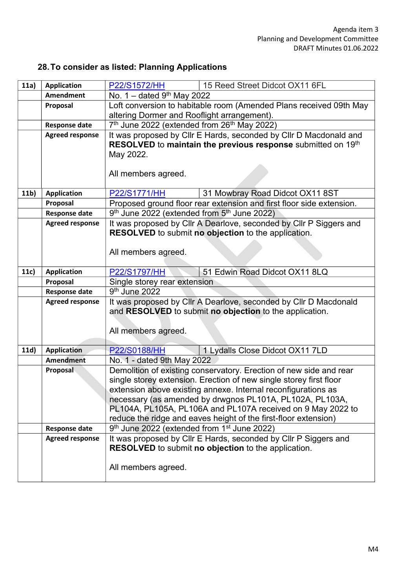# **28.To consider as listed: Planning Applications**

| 11a)            | <b>Application</b>     | P22/S1572/HH<br>15 Reed Street Didcot OX11 6FL                                                                             |  |  |
|-----------------|------------------------|----------------------------------------------------------------------------------------------------------------------------|--|--|
|                 | <b>Amendment</b>       | No. 1 - dated 9th May 2022                                                                                                 |  |  |
|                 | Proposal               | Loft conversion to habitable room (Amended Plans received 09th May                                                         |  |  |
|                 |                        | altering Dormer and Rooflight arrangement).                                                                                |  |  |
|                 | <b>Response date</b>   | 7 <sup>th</sup> June 2022 (extended from 26 <sup>th</sup> May 2022)                                                        |  |  |
|                 | <b>Agreed response</b> | It was proposed by Cllr E Hards, seconded by Cllr D Macdonald and                                                          |  |  |
|                 |                        | RESOLVED to maintain the previous response submitted on 19th                                                               |  |  |
|                 |                        | May 2022.                                                                                                                  |  |  |
|                 |                        |                                                                                                                            |  |  |
|                 |                        | All members agreed.                                                                                                        |  |  |
| 11 <sub>b</sub> | <b>Application</b>     | 31 Mowbray Road Didcot OX11 8ST<br>P22/S1771/HH                                                                            |  |  |
|                 | Proposal               | Proposed ground floor rear extension and first floor side extension.                                                       |  |  |
|                 | <b>Response date</b>   | 9th June 2022 (extended from 5th June 2022)                                                                                |  |  |
|                 | <b>Agreed response</b> | It was proposed by Cllr A Dearlove, seconded by Cllr P Siggers and                                                         |  |  |
|                 |                        | RESOLVED to submit no objection to the application.                                                                        |  |  |
|                 |                        |                                                                                                                            |  |  |
|                 |                        | All members agreed.                                                                                                        |  |  |
|                 |                        |                                                                                                                            |  |  |
| 11c)            | <b>Application</b>     | 51 Edwin Road Didcot OX11 8LQ<br>P22/S1797/HH                                                                              |  |  |
|                 | Proposal               | Single storey rear extension                                                                                               |  |  |
|                 | <b>Response date</b>   | $\overline{9}$ <sup>th</sup> June 2022                                                                                     |  |  |
|                 | <b>Agreed response</b> | It was proposed by Cllr A Dearlove, seconded by Cllr D Macdonald                                                           |  |  |
|                 |                        | and RESOLVED to submit no objection to the application.                                                                    |  |  |
|                 |                        | All members agreed.                                                                                                        |  |  |
|                 |                        |                                                                                                                            |  |  |
| 11d)            | <b>Application</b>     | 1 Lydalls Close Didcot OX11 7LD<br><b>P22/S0188/HH</b>                                                                     |  |  |
|                 | Amendment              | No. 1 - dated 9th May 2022                                                                                                 |  |  |
|                 | Proposal               | Demolition of existing conservatory. Erection of new side and rear                                                         |  |  |
|                 |                        | single storey extension. Erection of new single storey first floor                                                         |  |  |
|                 |                        | extension above existing annexe. Internal reconfigurations as                                                              |  |  |
|                 |                        | necessary (as amended by drwgnos PL101A, PL102A, PL103A,                                                                   |  |  |
|                 |                        | PL104A, PL105A, PL106A and PL107A received on 9 May 2022 to                                                                |  |  |
|                 | <b>Response date</b>   | reduce the ridge and eaves height of the first-floor extension)<br>9th June 2022 (extended from 1 <sup>st</sup> June 2022) |  |  |
|                 | <b>Agreed response</b> | It was proposed by CIIr E Hards, seconded by CIIr P Siggers and                                                            |  |  |
|                 |                        | <b>RESOLVED</b> to submit no objection to the application.                                                                 |  |  |
|                 |                        |                                                                                                                            |  |  |
|                 |                        | All members agreed.                                                                                                        |  |  |
|                 |                        |                                                                                                                            |  |  |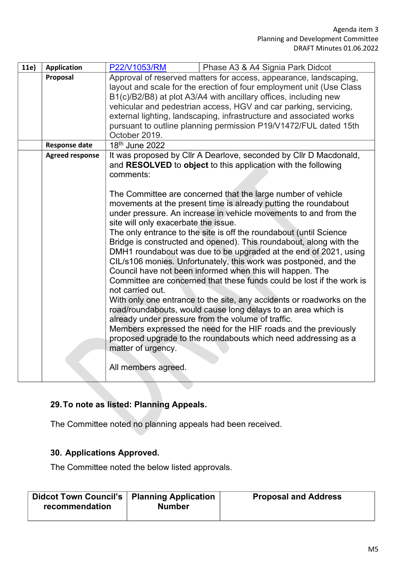| 11e) | <b>Application</b>     | P22/V1053/RM<br>Phase A3 & A4 Signia Park Didcot                                                                                                                                                                                                                                                                                                                                                                                                                                                                                                                                                                                                                                                                                                                                                                                                                                                                                                                                                                                                                                                                                                                                                                               |
|------|------------------------|--------------------------------------------------------------------------------------------------------------------------------------------------------------------------------------------------------------------------------------------------------------------------------------------------------------------------------------------------------------------------------------------------------------------------------------------------------------------------------------------------------------------------------------------------------------------------------------------------------------------------------------------------------------------------------------------------------------------------------------------------------------------------------------------------------------------------------------------------------------------------------------------------------------------------------------------------------------------------------------------------------------------------------------------------------------------------------------------------------------------------------------------------------------------------------------------------------------------------------|
|      | Proposal               | Approval of reserved matters for access, appearance, landscaping,<br>layout and scale for the erection of four employment unit (Use Class<br>B1(c)/B2/B8) at plot A3/A4 with ancillary offices, including new<br>vehicular and pedestrian access, HGV and car parking, servicing,<br>external lighting, landscaping, infrastructure and associated works<br>pursuant to outline planning permission P19/V1472/FUL dated 15th<br>October 2019.                                                                                                                                                                                                                                                                                                                                                                                                                                                                                                                                                                                                                                                                                                                                                                                  |
|      | <b>Response date</b>   | 18th June 2022                                                                                                                                                                                                                                                                                                                                                                                                                                                                                                                                                                                                                                                                                                                                                                                                                                                                                                                                                                                                                                                                                                                                                                                                                 |
|      | <b>Agreed response</b> | It was proposed by Cllr A Dearlove, seconded by Cllr D Macdonald,<br>and RESOLVED to object to this application with the following<br>comments:<br>The Committee are concerned that the large number of vehicle<br>movements at the present time is already putting the roundabout<br>under pressure. An increase in vehicle movements to and from the<br>site will only exacerbate the issue.<br>The only entrance to the site is off the roundabout (until Science<br>Bridge is constructed and opened). This roundabout, along with the<br>DMH1 roundabout was due to be upgraded at the end of 2021, using<br>CIL/s106 monies. Unfortunately, this work was postponed, and the<br>Council have not been informed when this will happen. The<br>Committee are concerned that these funds could be lost if the work is<br>not carried out.<br>With only one entrance to the site, any accidents or roadworks on the<br>road/roundabouts, would cause long delays to an area which is<br>already under pressure from the volume of traffic.<br>Members expressed the need for the HIF roads and the previously<br>proposed upgrade to the roundabouts which need addressing as a<br>matter of urgency.<br>All members agreed. |

# **29.To note as listed: Planning Appeals.**

The Committee noted no planning appeals had been received.

## **30. Applications Approved.**

The Committee noted the below listed approvals.

| <b>Didcot Town Council's │ Planning Application</b><br>recommendation | <b>Number</b> | <b>Proposal and Address</b> |
|-----------------------------------------------------------------------|---------------|-----------------------------|
|                                                                       |               |                             |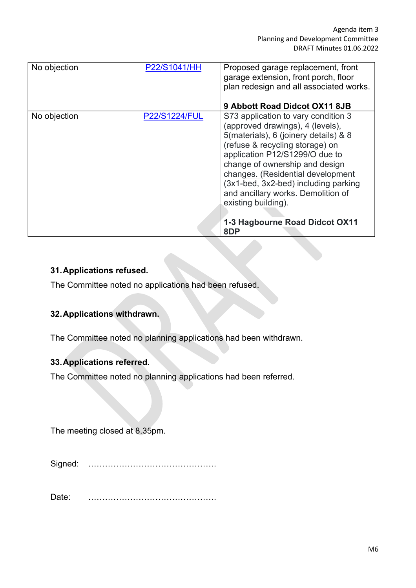| No objection | P22/S1041/HH         | Proposed garage replacement, front<br>garage extension, front porch, floor<br>plan redesign and all associated works.<br>9 Abbott Road Didcot OX11 8JB                                                                                                                                                                                                                                                     |
|--------------|----------------------|------------------------------------------------------------------------------------------------------------------------------------------------------------------------------------------------------------------------------------------------------------------------------------------------------------------------------------------------------------------------------------------------------------|
| No objection | <b>P22/S1224/FUL</b> | S73 application to vary condition 3<br>(approved drawings), 4 (levels),<br>5(materials), 6 (joinery details) & 8<br>(refuse & recycling storage) on<br>application P12/S1299/O due to<br>change of ownership and design<br>changes. (Residential development<br>(3x1-bed, 3x2-bed) including parking<br>and ancillary works. Demolition of<br>existing building).<br>1-3 Hagbourne Road Didcot OX11<br>8DP |

## **31.Applications refused.**

The Committee noted no applications had been refused.

## **32.Applications withdrawn.**

The Committee noted no planning applications had been withdrawn.

### **33.Applications referred.**

The Committee noted no planning applications had been referred.

The meeting closed at 8.35pm.

Signed: ……………………………………….

Date: ……………………………………….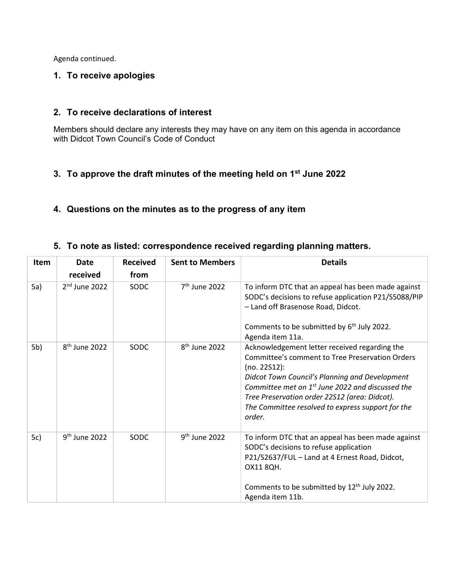Agenda continued.

#### **1. To receive apologies**

#### **2. To receive declarations of interest**

Members should declare any interests they may have on any item on this agenda in accordance with Didcot Town Council's Code of Conduct

#### **3. To approve the draft minutes of the meeting held on 1st June 2022**

#### **4. Questions on the minutes as to the progress of any item**

#### **5. To note as listed: correspondence received regarding planning matters.**

| Item | Date                      | <b>Received</b> | <b>Sent to Members</b>    | <b>Details</b>                                                                                                                                                                                                                                                                                                                                     |
|------|---------------------------|-----------------|---------------------------|----------------------------------------------------------------------------------------------------------------------------------------------------------------------------------------------------------------------------------------------------------------------------------------------------------------------------------------------------|
|      | received                  | from            |                           |                                                                                                                                                                                                                                                                                                                                                    |
| 5a)  | $2nd$ June 2022           | SODC            | 7 <sup>th</sup> June 2022 | To inform DTC that an appeal has been made against<br>SODC's decisions to refuse application P21/S5088/PIP<br>- Land off Brasenose Road, Didcot.<br>Comments to be submitted by 6 <sup>th</sup> July 2022.<br>Agenda item 11a.                                                                                                                     |
| 5b)  | 8 <sup>th</sup> June 2022 | SODC            | 8 <sup>th</sup> June 2022 | Acknowledgement letter received regarding the<br>Committee's comment to Tree Preservation Orders<br>(no. 22S12):<br>Didcot Town Council's Planning and Development<br>Committee met on 1 <sup>st</sup> June 2022 and discussed the<br>Tree Preservation order 22S12 (area: Didcot).<br>The Committee resolved to express support for the<br>order. |
| 5c)  | $9th$ June 2022           | SODC            | 9 <sup>th</sup> June 2022 | To inform DTC that an appeal has been made against<br>SODC's decisions to refuse application<br>P21/S2637/FUL - Land at 4 Ernest Road, Didcot,<br>OX11 8QH.<br>Comments to be submitted by 12 <sup>th</sup> July 2022.<br>Agenda item 11b.                                                                                                         |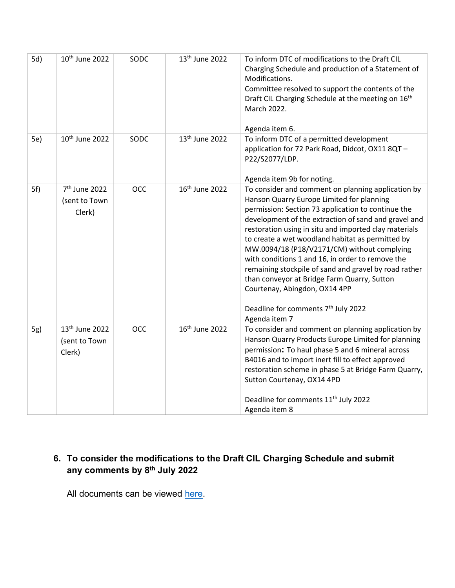| 5d) | 10 <sup>th</sup> June 2022                            | SODC       | 13 <sup>th</sup> June 2022 | To inform DTC of modifications to the Draft CIL<br>Charging Schedule and production of a Statement of<br>Modifications.<br>Committee resolved to support the contents of the<br>Draft CIL Charging Schedule at the meeting on 16 <sup>th</sup><br>March 2022.<br>Agenda item 6.                                                                                                                                                                                                                                                                                                                                                            |
|-----|-------------------------------------------------------|------------|----------------------------|--------------------------------------------------------------------------------------------------------------------------------------------------------------------------------------------------------------------------------------------------------------------------------------------------------------------------------------------------------------------------------------------------------------------------------------------------------------------------------------------------------------------------------------------------------------------------------------------------------------------------------------------|
| 5e) | 10 <sup>th</sup> June 2022                            | SODC       | 13 <sup>th</sup> June 2022 | To inform DTC of a permitted development<br>application for 72 Park Road, Didcot, OX11 8QT-<br>P22/S2077/LDP.<br>Agenda item 9b for noting.                                                                                                                                                                                                                                                                                                                                                                                                                                                                                                |
| 5f) | 7 <sup>th</sup> June 2022<br>(sent to Town<br>Clerk)  | <b>OCC</b> | 16 <sup>th</sup> June 2022 | To consider and comment on planning application by<br>Hanson Quarry Europe Limited for planning<br>permission: Section 73 application to continue the<br>development of the extraction of sand and gravel and<br>restoration using in situ and imported clay materials<br>to create a wet woodland habitat as permitted by<br>MW.0094/18 (P18/V2171/CM) without complying<br>with conditions 1 and 16, in order to remove the<br>remaining stockpile of sand and gravel by road rather<br>than conveyor at Bridge Farm Quarry, Sutton<br>Courtenay, Abingdon, OX14 4PP<br>Deadline for comments 7 <sup>th</sup> July 2022<br>Agenda item 7 |
| 5g) | 13 <sup>th</sup> June 2022<br>(sent to Town<br>Clerk) | <b>OCC</b> | 16 <sup>th</sup> June 2022 | To consider and comment on planning application by<br>Hanson Quarry Products Europe Limited for planning<br>permission: To haul phase 5 and 6 mineral across<br>B4016 and to import inert fill to effect approved<br>restoration scheme in phase 5 at Bridge Farm Quarry,<br>Sutton Courtenay, OX14 4PD<br>Deadline for comments 11 <sup>th</sup> July 2022<br>Agenda item 8                                                                                                                                                                                                                                                               |

## **6. To consider the modifications to the Draft CIL Charging Schedule and submit any comments by 8th July 2022**

All documents can be viewed [here.](https://www.southoxon.gov.uk/south-oxfordshire-district-council/planning-and-development/local-plan-and-planning-policies/community-infrastructure-levy-cil-charging-schedule/)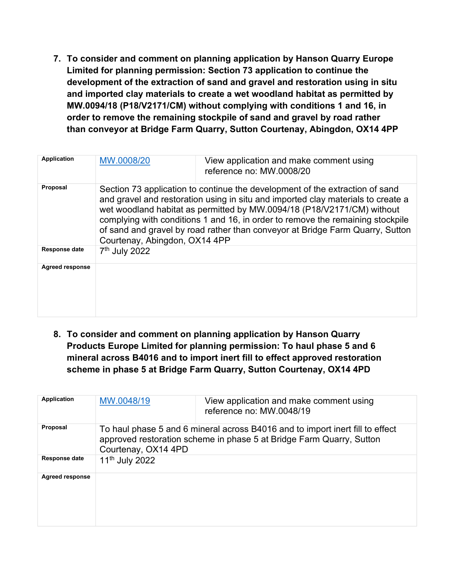**7. To consider and comment on planning application by Hanson Quarry Europe Limited for planning permission: Section 73 application to continue the development of the extraction of sand and gravel and restoration using in situ and imported clay materials to create a wet woodland habitat as permitted by MW.0094/18 (P18/V2171/CM) without complying with conditions 1 and 16, in order to remove the remaining stockpile of sand and gravel by road rather than conveyor at Bridge Farm Quarry, Sutton Courtenay, Abingdon, OX14 4PP**

| <b>Application</b>     | MW.0008/20                                                                                                                                                                                                                                                                                                                                                                                                                                     | View application and make comment using<br>reference no: MW.0008/20 |  |
|------------------------|------------------------------------------------------------------------------------------------------------------------------------------------------------------------------------------------------------------------------------------------------------------------------------------------------------------------------------------------------------------------------------------------------------------------------------------------|---------------------------------------------------------------------|--|
| Proposal               | Section 73 application to continue the development of the extraction of sand<br>and gravel and restoration using in situ and imported clay materials to create a<br>wet woodland habitat as permitted by MW.0094/18 (P18/V2171/CM) without<br>complying with conditions 1 and 16, in order to remove the remaining stockpile<br>of sand and gravel by road rather than conveyor at Bridge Farm Quarry, Sutton<br>Courtenay, Abingdon, OX14 4PP |                                                                     |  |
| <b>Response date</b>   | 7 <sup>th</sup> July 2022                                                                                                                                                                                                                                                                                                                                                                                                                      |                                                                     |  |
| <b>Agreed response</b> |                                                                                                                                                                                                                                                                                                                                                                                                                                                |                                                                     |  |

**8. To consider and comment on planning application by Hanson Quarry Products Europe Limited for planning permission: To haul phase 5 and 6 mineral across B4016 and to import inert fill to effect approved restoration scheme in phase 5 at Bridge Farm Quarry, Sutton Courtenay, OX14 4PD**

| <b>Application</b>     | MW.0048/19                                                                                                                                                                   | View application and make comment using<br>reference no: MW.0048/19 |
|------------------------|------------------------------------------------------------------------------------------------------------------------------------------------------------------------------|---------------------------------------------------------------------|
| <b>Proposal</b>        | To haul phase 5 and 6 mineral across B4016 and to import inert fill to effect<br>approved restoration scheme in phase 5 at Bridge Farm Quarry, Sutton<br>Courtenay, OX14 4PD |                                                                     |
| <b>Response date</b>   | 11 <sup>th</sup> July 2022                                                                                                                                                   |                                                                     |
| <b>Agreed response</b> |                                                                                                                                                                              |                                                                     |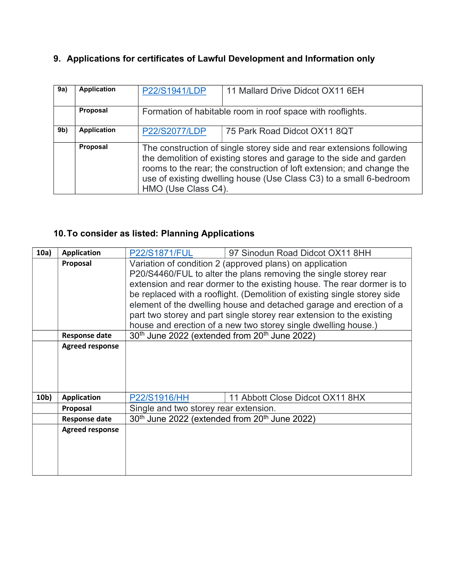# **9. Applications for certificates of Lawful Development and Information only**

| 9a)            | <b>Application</b> | P22/S1941/LDP                                                                                                                                                                                                                                                                                                     | 11 Mallard Drive Didcot OX11 6EH                           |  |
|----------------|--------------------|-------------------------------------------------------------------------------------------------------------------------------------------------------------------------------------------------------------------------------------------------------------------------------------------------------------------|------------------------------------------------------------|--|
|                | Proposal           |                                                                                                                                                                                                                                                                                                                   | Formation of habitable room in roof space with rooflights. |  |
| 9 <sub>b</sub> | <b>Application</b> | <b>P22/S2077/LDP</b>                                                                                                                                                                                                                                                                                              | 75 Park Road Didcot OX11 8QT                               |  |
|                | Proposal           | The construction of single storey side and rear extensions following<br>the demolition of existing stores and garage to the side and garden<br>rooms to the rear; the construction of loft extension; and change the<br>use of existing dwelling house (Use Class C3) to a small 6-bedroom<br>HMO (Use Class C4). |                                                            |  |

# **10.To consider as listed: Planning Applications**

| 10a) | <b>Application</b>     | <b>P22/S1871/FUL</b>                                                  | 97 Sinodun Road Didcot OX11 8HH                                          |  |
|------|------------------------|-----------------------------------------------------------------------|--------------------------------------------------------------------------|--|
|      | Proposal               |                                                                       | Variation of condition 2 (approved plans) on application                 |  |
|      |                        |                                                                       | P20/S4460/FUL to alter the plans removing the single storey rear         |  |
|      |                        |                                                                       | extension and rear dormer to the existing house. The rear dormer is to   |  |
|      |                        |                                                                       | be replaced with a rooflight. (Demolition of existing single storey side |  |
|      |                        | element of the dwelling house and detached garage and erection of a   |                                                                          |  |
|      |                        | part two storey and part single storey rear extension to the existing |                                                                          |  |
|      |                        |                                                                       | house and erection of a new two storey single dwelling house.)           |  |
|      | <b>Response date</b>   | 30 <sup>th</sup> June 2022 (extended from 20 <sup>th</sup> June 2022) |                                                                          |  |
|      | <b>Agreed response</b> |                                                                       |                                                                          |  |
|      |                        |                                                                       |                                                                          |  |
|      |                        |                                                                       |                                                                          |  |
|      |                        |                                                                       |                                                                          |  |
|      |                        |                                                                       |                                                                          |  |
| 10b) | <b>Application</b>     | P22/S1916/HH                                                          | 11 Abbott Close Didcot OX11 8HX                                          |  |
|      | Proposal               | Single and two storey rear extension.                                 |                                                                          |  |
|      | <b>Response date</b>   | 30 <sup>th</sup> June 2022 (extended from 20 <sup>th</sup> June 2022) |                                                                          |  |
|      | <b>Agreed response</b> |                                                                       |                                                                          |  |
|      |                        |                                                                       |                                                                          |  |
|      |                        |                                                                       |                                                                          |  |
|      |                        |                                                                       |                                                                          |  |
|      |                        |                                                                       |                                                                          |  |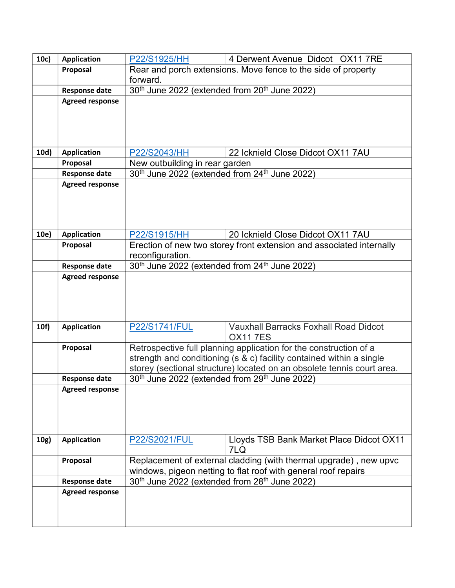| 10c) | <b>Application</b>             | 4 Derwent Avenue Didcot OX11 7RE<br>P22/S1925/HH                                                                                    |                                                                        |  |
|------|--------------------------------|-------------------------------------------------------------------------------------------------------------------------------------|------------------------------------------------------------------------|--|
|      | Proposal                       | Rear and porch extensions. Move fence to the side of property                                                                       |                                                                        |  |
|      |                                | forward.                                                                                                                            |                                                                        |  |
|      | <b>Response date</b>           | 30 <sup>th</sup> June 2022 (extended from 20 <sup>th</sup> June 2022)                                                               |                                                                        |  |
|      | <b>Agreed response</b>         |                                                                                                                                     |                                                                        |  |
|      |                                |                                                                                                                                     |                                                                        |  |
|      |                                |                                                                                                                                     |                                                                        |  |
|      |                                |                                                                                                                                     |                                                                        |  |
|      |                                |                                                                                                                                     |                                                                        |  |
| 10d) | <b>Application</b><br>Proposal | 22 Icknield Close Didcot OX11 7AU<br>P22/S2043/HH                                                                                   |                                                                        |  |
|      | <b>Response date</b>           | New outbuilding in rear garden                                                                                                      |                                                                        |  |
|      | <b>Agreed response</b>         | 30 <sup>th</sup> June 2022 (extended from 24 <sup>th</sup> June 2022)                                                               |                                                                        |  |
|      |                                |                                                                                                                                     |                                                                        |  |
|      |                                |                                                                                                                                     |                                                                        |  |
|      |                                |                                                                                                                                     |                                                                        |  |
|      |                                |                                                                                                                                     |                                                                        |  |
| 10e) | <b>Application</b>             | 20 Icknield Close Didcot OX11 7AU<br>P22/S1915/HH                                                                                   |                                                                        |  |
|      | Proposal                       | Erection of new two storey front extension and associated internally                                                                |                                                                        |  |
|      |                                | reconfiguration.                                                                                                                    |                                                                        |  |
|      | <b>Response date</b>           | 30 <sup>th</sup> June 2022 (extended from 24 <sup>th</sup> June 2022)                                                               |                                                                        |  |
|      | <b>Agreed response</b>         |                                                                                                                                     |                                                                        |  |
|      |                                |                                                                                                                                     |                                                                        |  |
|      |                                |                                                                                                                                     |                                                                        |  |
|      |                                |                                                                                                                                     |                                                                        |  |
| 10f) | <b>Application</b>             | P22/S1741/FUL                                                                                                                       | <b>Vauxhall Barracks Foxhall Road Didcot</b>                           |  |
|      |                                |                                                                                                                                     | <b>OX117ES</b>                                                         |  |
|      | Proposal                       |                                                                                                                                     | Retrospective full planning application for the construction of a      |  |
|      |                                | strength and conditioning (s & c) facility contained within a single                                                                |                                                                        |  |
|      |                                |                                                                                                                                     | storey (sectional structure) located on an obsolete tennis court area. |  |
|      | <b>Response date</b>           | 30 <sup>th</sup> June 2022 (extended from 29 <sup>th</sup> June 2022)                                                               |                                                                        |  |
|      | <b>Agreed response</b>         |                                                                                                                                     |                                                                        |  |
|      |                                |                                                                                                                                     |                                                                        |  |
|      |                                |                                                                                                                                     |                                                                        |  |
|      |                                |                                                                                                                                     |                                                                        |  |
|      | <b>Application</b>             |                                                                                                                                     |                                                                        |  |
| 10g) |                                | P22/S2021/FUL                                                                                                                       | Lloyds TSB Bank Market Place Didcot OX11<br>7LQ                        |  |
|      | Proposal                       |                                                                                                                                     |                                                                        |  |
|      |                                | Replacement of external cladding (with thermal upgrade), new upvc<br>windows, pigeon netting to flat roof with general roof repairs |                                                                        |  |
|      | <b>Response date</b>           | 30 <sup>th</sup> June 2022 (extended from 28 <sup>th</sup> June 2022)                                                               |                                                                        |  |
|      | <b>Agreed response</b>         |                                                                                                                                     |                                                                        |  |
|      |                                |                                                                                                                                     |                                                                        |  |
|      |                                |                                                                                                                                     |                                                                        |  |
|      |                                |                                                                                                                                     |                                                                        |  |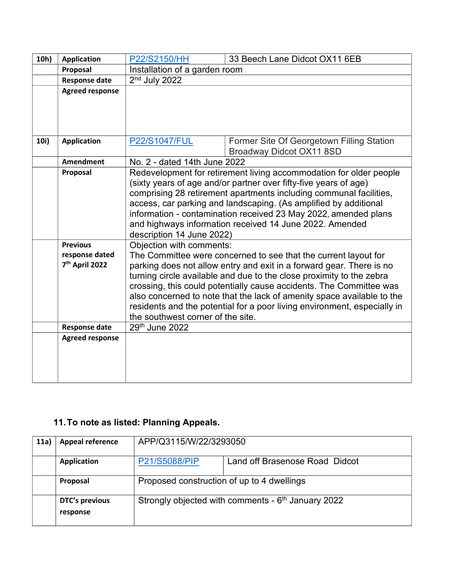| 10h) | <b>Application</b>                                              | P22/S2150/HH                                                                                                                                                                                                                                                                                                                                                                                                                                                                                                  | 33 Beech Lane Didcot OX11 6EB                                         |  |
|------|-----------------------------------------------------------------|---------------------------------------------------------------------------------------------------------------------------------------------------------------------------------------------------------------------------------------------------------------------------------------------------------------------------------------------------------------------------------------------------------------------------------------------------------------------------------------------------------------|-----------------------------------------------------------------------|--|
|      | Proposal                                                        | Installation of a garden room                                                                                                                                                                                                                                                                                                                                                                                                                                                                                 |                                                                       |  |
|      | <b>Response date</b>                                            | $2nd$ July 2022                                                                                                                                                                                                                                                                                                                                                                                                                                                                                               |                                                                       |  |
|      | <b>Agreed response</b>                                          |                                                                                                                                                                                                                                                                                                                                                                                                                                                                                                               |                                                                       |  |
| 10i) | <b>Application</b>                                              | <b>P22/S1047/FUL</b>                                                                                                                                                                                                                                                                                                                                                                                                                                                                                          | Former Site Of Georgetown Filling Station<br>Broadway Didcot OX11 8SD |  |
|      | <b>Amendment</b>                                                | No. 2 - dated 14th June 2022                                                                                                                                                                                                                                                                                                                                                                                                                                                                                  |                                                                       |  |
|      | Proposal                                                        | Redevelopment for retirement living accommodation for older people<br>(sixty years of age and/or partner over fifty-five years of age)<br>comprising 28 retirement apartments including communal facilities,<br>access, car parking and landscaping. (As amplified by additional<br>information - contamination received 23 May 2022, amended plans<br>and highways information received 14 June 2022. Amended<br>description 14 June 2022)                                                                   |                                                                       |  |
|      | <b>Previous</b><br>response dated<br>7 <sup>th</sup> April 2022 | Objection with comments:<br>The Committee were concerned to see that the current layout for<br>parking does not allow entry and exit in a forward gear. There is no<br>turning circle available and due to the close proximity to the zebra<br>crossing, this could potentially cause accidents. The Committee was<br>also concerned to note that the lack of amenity space available to the<br>residents and the potential for a poor living environment, especially in<br>the southwest corner of the site. |                                                                       |  |
|      | <b>Response date</b>                                            | 29th June 2022                                                                                                                                                                                                                                                                                                                                                                                                                                                                                                |                                                                       |  |
|      | <b>Agreed response</b>                                          |                                                                                                                                                                                                                                                                                                                                                                                                                                                                                                               |                                                                       |  |

# **11.To note as listed: Planning Appeals.**

| 11a) | <b>Appeal reference</b>    | APP/Q3115/W/22/3293050                                         |  |
|------|----------------------------|----------------------------------------------------------------|--|
|      | <b>Application</b>         | P21/S5088/PIP<br>Land off Brasenose Road Didcot                |  |
|      | Proposal                   | Proposed construction of up to 4 dwellings                     |  |
|      | DTC's previous<br>response | Strongly objected with comments - 6 <sup>th</sup> January 2022 |  |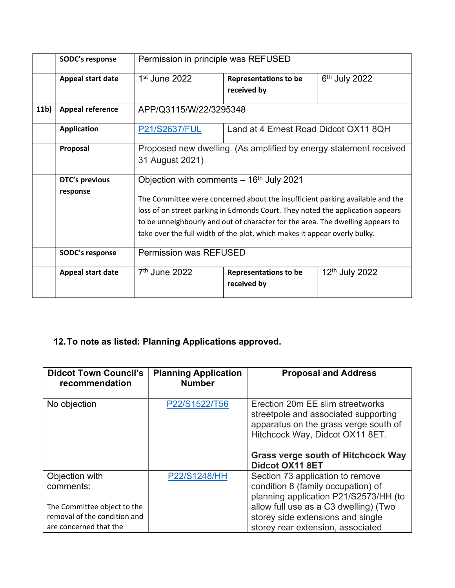|                 | SODC's response         | Permission in principle was REFUSED                                                                                                                                                                                                                                                                                            |                                             |                  |
|-----------------|-------------------------|--------------------------------------------------------------------------------------------------------------------------------------------------------------------------------------------------------------------------------------------------------------------------------------------------------------------------------|---------------------------------------------|------------------|
|                 | Appeal start date       | $1st$ June 2022                                                                                                                                                                                                                                                                                                                | <b>Representations to be</b>                | $6th$ July 2022  |
|                 |                         |                                                                                                                                                                                                                                                                                                                                | received by                                 |                  |
| 11 <sub>b</sub> | <b>Appeal reference</b> | APP/Q3115/W/22/3295348                                                                                                                                                                                                                                                                                                         |                                             |                  |
|                 | <b>Application</b>      | Land at 4 Ernest Road Didcot OX11 8QH<br>P21/S2637/FUL                                                                                                                                                                                                                                                                         |                                             |                  |
|                 | Proposal                | Proposed new dwelling. (As amplified by energy statement received                                                                                                                                                                                                                                                              |                                             |                  |
|                 |                         | 31 August 2021)                                                                                                                                                                                                                                                                                                                |                                             |                  |
|                 | DTC's previous          | Objection with comments $-16th$ July 2021                                                                                                                                                                                                                                                                                      |                                             |                  |
|                 | response                | The Committee were concerned about the insufficient parking available and the<br>loss of on street parking in Edmonds Court. They noted the application appears<br>to be unneighbourly and out of character for the area. The dwelling appears to<br>take over the full width of the plot, which makes it appear overly bulky. |                                             |                  |
|                 | SODC's response         | <b>Permission was REFUSED</b>                                                                                                                                                                                                                                                                                                  |                                             |                  |
|                 | Appeal start date       | $7th$ June 2022                                                                                                                                                                                                                                                                                                                | <b>Representations to be</b><br>received by | $12th$ July 2022 |

# **12.To note as listed: Planning Applications approved.**

| <b>Didcot Town Council's</b><br>recommendation | <b>Planning Application</b><br><b>Number</b> | <b>Proposal and Address</b>                                                                                                                          |
|------------------------------------------------|----------------------------------------------|------------------------------------------------------------------------------------------------------------------------------------------------------|
| No objection                                   | P22/S1522/T56                                | Erection 20m EE slim streetworks<br>streetpole and associated supporting<br>apparatus on the grass verge south of<br>Hitchcock Way, Didcot OX11 8ET. |
|                                                |                                              | <b>Grass verge south of Hitchcock Way</b><br><b>Didcot OX11 8ET</b>                                                                                  |
| Objection with                                 | P22/S1248/HH                                 | Section 73 application to remove                                                                                                                     |
| comments:                                      |                                              | condition 8 (family occupation) of                                                                                                                   |
|                                                |                                              | planning application P21/S2573/HH (to                                                                                                                |
| The Committee object to the                    |                                              | allow full use as a C3 dwelling) (Two                                                                                                                |
| removal of the condition and                   |                                              | storey side extensions and single                                                                                                                    |
| are concerned that the                         |                                              | storey rear extension, associated                                                                                                                    |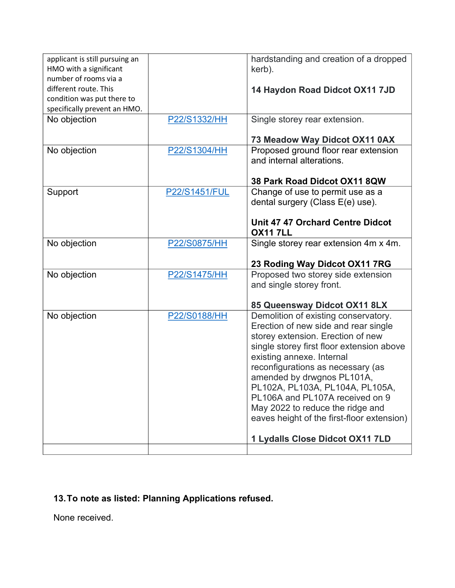| applicant is still pursuing an<br>HMO with a significant<br>number of rooms via a<br>different route. This<br>condition was put there to<br>specifically prevent an HMO. |               | hardstanding and creation of a dropped<br>kerb).<br>14 Haydon Road Didcot OX11 7JD                                                                                                                                                                                                                                                                                                                                                                        |
|--------------------------------------------------------------------------------------------------------------------------------------------------------------------------|---------------|-----------------------------------------------------------------------------------------------------------------------------------------------------------------------------------------------------------------------------------------------------------------------------------------------------------------------------------------------------------------------------------------------------------------------------------------------------------|
| No objection                                                                                                                                                             | P22/S1332/HH  | Single storey rear extension.                                                                                                                                                                                                                                                                                                                                                                                                                             |
|                                                                                                                                                                          |               | 73 Meadow Way Didcot OX11 0AX                                                                                                                                                                                                                                                                                                                                                                                                                             |
| No objection                                                                                                                                                             | P22/S1304/HH  | Proposed ground floor rear extension<br>and internal alterations.                                                                                                                                                                                                                                                                                                                                                                                         |
|                                                                                                                                                                          |               | 38 Park Road Didcot OX11 8QW                                                                                                                                                                                                                                                                                                                                                                                                                              |
| Support                                                                                                                                                                  | P22/S1451/FUL | Change of use to permit use as a                                                                                                                                                                                                                                                                                                                                                                                                                          |
|                                                                                                                                                                          |               | dental surgery (Class E(e) use).                                                                                                                                                                                                                                                                                                                                                                                                                          |
|                                                                                                                                                                          |               | Unit 47 47 Orchard Centre Didcot<br><b>OX117LL</b>                                                                                                                                                                                                                                                                                                                                                                                                        |
| No objection                                                                                                                                                             | P22/S0875/HH  | Single storey rear extension 4m x 4m.                                                                                                                                                                                                                                                                                                                                                                                                                     |
|                                                                                                                                                                          |               | 23 Roding Way Didcot OX11 7RG                                                                                                                                                                                                                                                                                                                                                                                                                             |
| No objection                                                                                                                                                             | P22/S1475/HH  | Proposed two storey side extension                                                                                                                                                                                                                                                                                                                                                                                                                        |
|                                                                                                                                                                          |               | and single storey front.                                                                                                                                                                                                                                                                                                                                                                                                                                  |
|                                                                                                                                                                          |               | 85 Queensway Didcot OX11 8LX                                                                                                                                                                                                                                                                                                                                                                                                                              |
| No objection                                                                                                                                                             | P22/S0188/HH  | Demolition of existing conservatory.<br>Erection of new side and rear single<br>storey extension. Erection of new<br>single storey first floor extension above<br>existing annexe. Internal<br>reconfigurations as necessary (as<br>amended by drwgnos PL101A,<br>PL102A, PL103A, PL104A, PL105A,<br>PL106A and PL107A received on 9<br>May 2022 to reduce the ridge and<br>eaves height of the first-floor extension)<br>1 Lydalls Close Didcot OX11 7LD |
|                                                                                                                                                                          |               |                                                                                                                                                                                                                                                                                                                                                                                                                                                           |

# **13.To note as listed: Planning Applications refused.**

None received.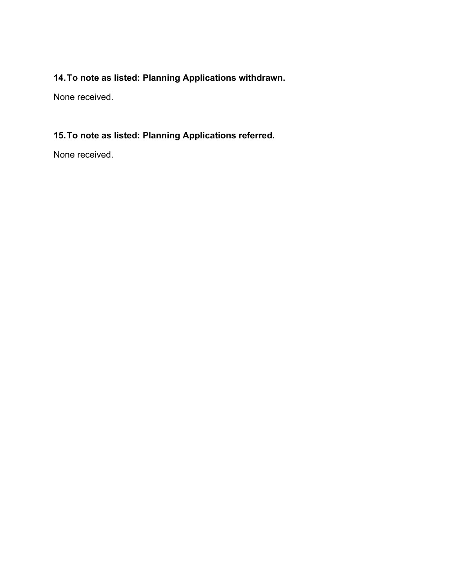# **14.To note as listed: Planning Applications withdrawn.**

None received.

# **15.To note as listed: Planning Applications referred.**

None received.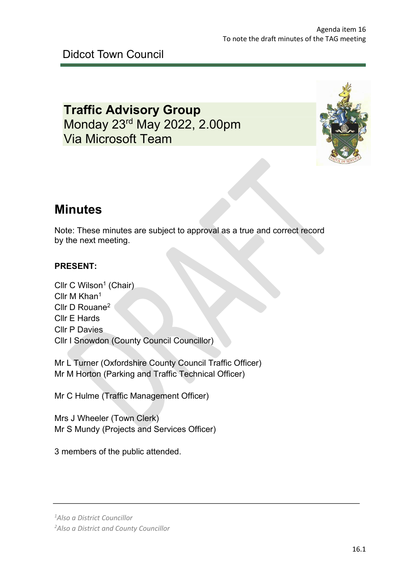# **Traffic Advisory Group** Monday 23rd May 2022, 2.00pm Via Microsoft Team



# **Minutes**

Note: These minutes are subject to approval as a true and correct record by the next meeting.

## **PRESENT:**

Cllr C Wilson<sup>1</sup> (Chair) Cllr M Khan<sup>1</sup> Cllr D Rouane2 Cllr E Hards Cllr P Davies Cllr I Snowdon (County Council Councillor)

Mr L Turner (Oxfordshire County Council Traffic Officer) Mr M Horton (Parking and Traffic Technical Officer)

Mr C Hulme (Traffic Management Officer)

Mrs J Wheeler (Town Clerk) Mr S Mundy (Projects and Services Officer)

3 members of the public attended.

*<sup>1</sup> Also a District Councillor*

*<sup>2</sup> Also a District and County Councillor*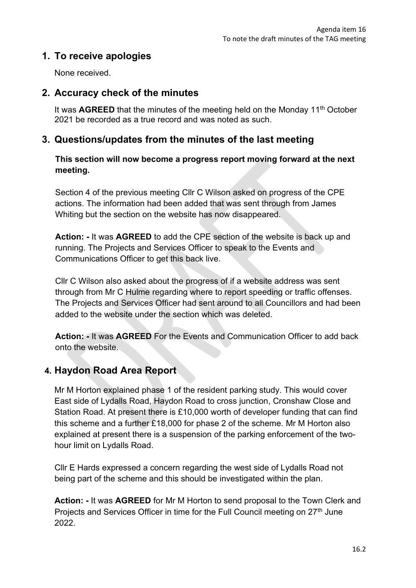# **1. To receive apologies**

None received.

## **2. Accuracy check of the minutes**

It was **AGREED** that the minutes of the meeting held on the Monday 11th October 2021 be recorded as a true record and was noted as such.

## **3. Questions/updates from the minutes of the last meeting**

### **This section will now become a progress report moving forward at the next meeting.**

Section 4 of the previous meeting Cllr C Wilson asked on progress of the CPE actions. The information had been added that was sent through from James Whiting but the section on the website has now disappeared.

**Action: -** It was **AGREED** to add the CPE section of the website is back up and running. The Projects and Services Officer to speak to the Events and Communications Officer to get this back live.

Cllr C Wilson also asked about the progress of if a website address was sent through from Mr C Hulme regarding where to report speeding or traffic offenses. The Projects and Services Officer had sent around to all Councillors and had been added to the website under the section which was deleted.

**Action: -** It was **AGREED** For the Events and Communication Officer to add back onto the website.

# **4. Haydon Road Area Report**

Mr M Horton explained phase 1 of the resident parking study. This would cover East side of Lydalls Road, Haydon Road to cross junction, Cronshaw Close and Station Road. At present there is £10,000 worth of developer funding that can find this scheme and a further £18,000 for phase 2 of the scheme. Mr M Horton also explained at present there is a suspension of the parking enforcement of the twohour limit on Lydalls Road.

Cllr E Hards expressed a concern regarding the west side of Lydalls Road not being part of the scheme and this should be investigated within the plan.

**Action: -** It was **AGREED** for Mr M Horton to send proposal to the Town Clerk and Projects and Services Officer in time for the Full Council meeting on 27<sup>th</sup> June 2022.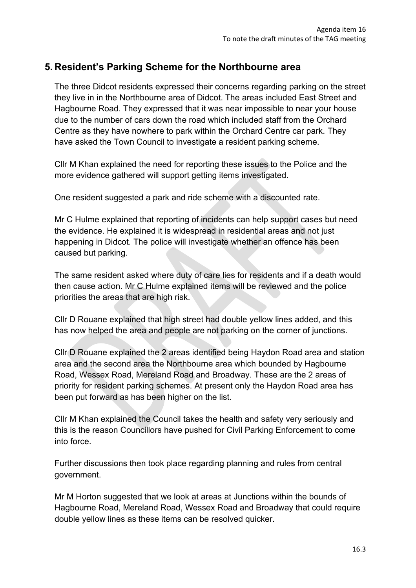## **5. Resident's Parking Scheme for the Northbourne area**

The three Didcot residents expressed their concerns regarding parking on the street they live in in the Northbourne area of Didcot. The areas included East Street and Hagbourne Road. They expressed that it was near impossible to near your house due to the number of cars down the road which included staff from the Orchard Centre as they have nowhere to park within the Orchard Centre car park. They have asked the Town Council to investigate a resident parking scheme.

Cllr M Khan explained the need for reporting these issues to the Police and the more evidence gathered will support getting items investigated.

One resident suggested a park and ride scheme with a discounted rate.

Mr C Hulme explained that reporting of incidents can help support cases but need the evidence. He explained it is widespread in residential areas and not just happening in Didcot. The police will investigate whether an offence has been caused but parking.

The same resident asked where duty of care lies for residents and if a death would then cause action. Mr C Hulme explained items will be reviewed and the police priorities the areas that are high risk.

Cllr D Rouane explained that high street had double yellow lines added, and this has now helped the area and people are not parking on the corner of junctions.

Cllr D Rouane explained the 2 areas identified being Haydon Road area and station area and the second area the Northbourne area which bounded by Hagbourne Road, Wessex Road, Mereland Road and Broadway. These are the 2 areas of priority for resident parking schemes. At present only the Haydon Road area has been put forward as has been higher on the list.

Cllr M Khan explained the Council takes the health and safety very seriously and this is the reason Councillors have pushed for Civil Parking Enforcement to come into force.

Further discussions then took place regarding planning and rules from central government.

Mr M Horton suggested that we look at areas at Junctions within the bounds of Hagbourne Road, Mereland Road, Wessex Road and Broadway that could require double yellow lines as these items can be resolved quicker.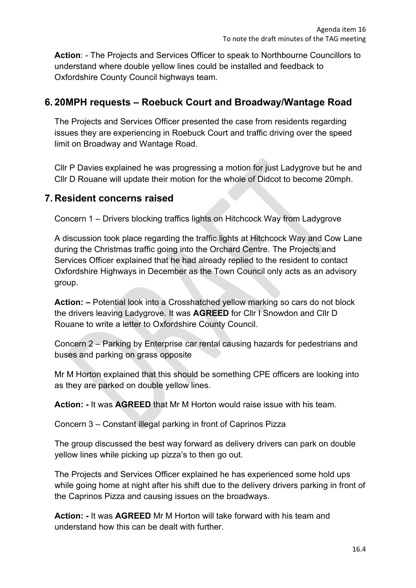**Action**: - The Projects and Services Officer to speak to Northbourne Councillors to understand where double yellow lines could be installed and feedback to Oxfordshire County Council highways team.

## **6. 20MPH requests – Roebuck Court and Broadway/Wantage Road**

The Projects and Services Officer presented the case from residents regarding issues they are experiencing in Roebuck Court and traffic driving over the speed limit on Broadway and Wantage Road.

Cllr P Davies explained he was progressing a motion for just Ladygrove but he and Cllr D Rouane will update their motion for the whole of Didcot to become 20mph.

## **7. Resident concerns raised**

Concern 1 – Drivers blocking traffics lights on Hitchcock Way from Ladygrove

A discussion took place regarding the traffic lights at Hitchcock Way and Cow Lane during the Christmas traffic going into the Orchard Centre. The Projects and Services Officer explained that he had already replied to the resident to contact Oxfordshire Highways in December as the Town Council only acts as an advisory group.

**Action: –** Potential look into a Crosshatched yellow marking so cars do not block the drivers leaving Ladygrove. It was **AGREED** for Cllr I Snowdon and Cllr D Rouane to write a letter to Oxfordshire County Council.

Concern 2 – Parking by Enterprise car rental causing hazards for pedestrians and buses and parking on grass opposite

Mr M Horton explained that this should be something CPE officers are looking into as they are parked on double yellow lines.

**Action: -** It was **AGREED** that Mr M Horton would raise issue with his team.

Concern 3 – Constant illegal parking in front of Caprinos Pizza

The group discussed the best way forward as delivery drivers can park on double yellow lines while picking up pizza's to then go out.

The Projects and Services Officer explained he has experienced some hold ups while going home at night after his shift due to the delivery drivers parking in front of the Caprinos Pizza and causing issues on the broadways.

**Action: -** It was **AGREED** Mr M Horton will take forward with his team and understand how this can be dealt with further.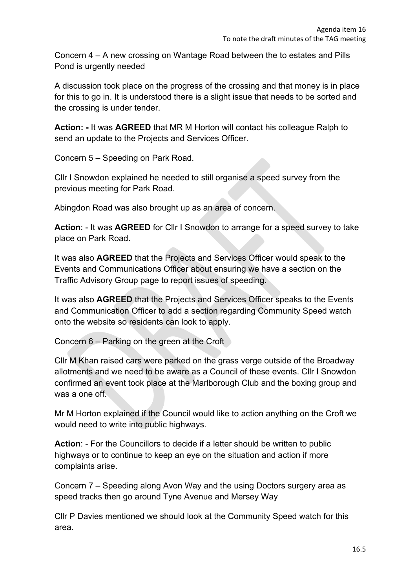Concern 4 – A new crossing on Wantage Road between the to estates and Pills Pond is urgently needed

A discussion took place on the progress of the crossing and that money is in place for this to go in. It is understood there is a slight issue that needs to be sorted and the crossing is under tender.

**Action: -** It was **AGREED** that MR M Horton will contact his colleague Ralph to send an update to the Projects and Services Officer.

Concern 5 – Speeding on Park Road.

Cllr I Snowdon explained he needed to still organise a speed survey from the previous meeting for Park Road.

Abingdon Road was also brought up as an area of concern.

**Action**: - It was **AGREED** for Cllr I Snowdon to arrange for a speed survey to take place on Park Road.

It was also **AGREED** that the Projects and Services Officer would speak to the Events and Communications Officer about ensuring we have a section on the Traffic Advisory Group page to report issues of speeding.

It was also **AGREED** that the Projects and Services Officer speaks to the Events and Communication Officer to add a section regarding Community Speed watch onto the website so residents can look to apply.

Concern 6 – Parking on the green at the Croft

Cllr M Khan raised cars were parked on the grass verge outside of the Broadway allotments and we need to be aware as a Council of these events. Cllr I Snowdon confirmed an event took place at the Marlborough Club and the boxing group and was a one off.

Mr M Horton explained if the Council would like to action anything on the Croft we would need to write into public highways.

**Action**: - For the Councillors to decide if a letter should be written to public highways or to continue to keep an eye on the situation and action if more complaints arise.

Concern 7 – Speeding along Avon Way and the using Doctors surgery area as speed tracks then go around Tyne Avenue and Mersey Way

Cllr P Davies mentioned we should look at the Community Speed watch for this area.